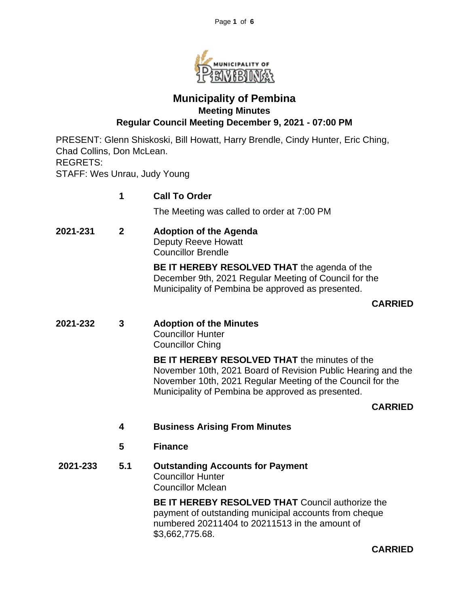

# **Municipality of Pembina Meeting Minutes Regular Council Meeting December 9, 2021 - 07:00 PM**

PRESENT: Glenn Shiskoski, Bill Howatt, Harry Brendle, Cindy Hunter, Eric Ching, Chad Collins, Don McLean. REGRETS: STAFF: Wes Unrau, Judy Young

|          | 1              | <b>Call To Order</b>                                                                                                                                                                                                                    |  |  |  |
|----------|----------------|-----------------------------------------------------------------------------------------------------------------------------------------------------------------------------------------------------------------------------------------|--|--|--|
|          |                | The Meeting was called to order at 7:00 PM                                                                                                                                                                                              |  |  |  |
| 2021-231 | $\overline{2}$ | <b>Adoption of the Agenda</b><br>Deputy Reeve Howatt<br><b>Councillor Brendle</b>                                                                                                                                                       |  |  |  |
|          |                | BE IT HEREBY RESOLVED THAT the agenda of the<br>December 9th, 2021 Regular Meeting of Council for the<br>Municipality of Pembina be approved as presented.                                                                              |  |  |  |
|          |                | <b>CARRIED</b>                                                                                                                                                                                                                          |  |  |  |
| 2021-232 | 3              | <b>Adoption of the Minutes</b><br><b>Councillor Hunter</b><br><b>Councillor Ching</b>                                                                                                                                                   |  |  |  |
|          |                | <b>BE IT HEREBY RESOLVED THAT the minutes of the</b><br>November 10th, 2021 Board of Revision Public Hearing and the<br>November 10th, 2021 Regular Meeting of the Council for the<br>Municipality of Pembina be approved as presented. |  |  |  |
|          |                | <b>CARRIED</b>                                                                                                                                                                                                                          |  |  |  |
|          | 4              | <b>Business Arising From Minutes</b>                                                                                                                                                                                                    |  |  |  |
|          | 5              | <b>Finance</b>                                                                                                                                                                                                                          |  |  |  |
| 2021-233 | 5.1            | <b>Outstanding Accounts for Payment</b><br><b>Councillor Hunter</b><br><b>Councillor Mclean</b>                                                                                                                                         |  |  |  |
|          |                | <b>BE IT HEREBY RESOLVED THAT Council authorize the</b><br>payment of outstanding municipal accounts from cheque                                                                                                                        |  |  |  |

payment of outstanding municipal accounts from cheque numbered 20211404 to 20211513 in the amount of \$3,662,775.68.

**CARRIED**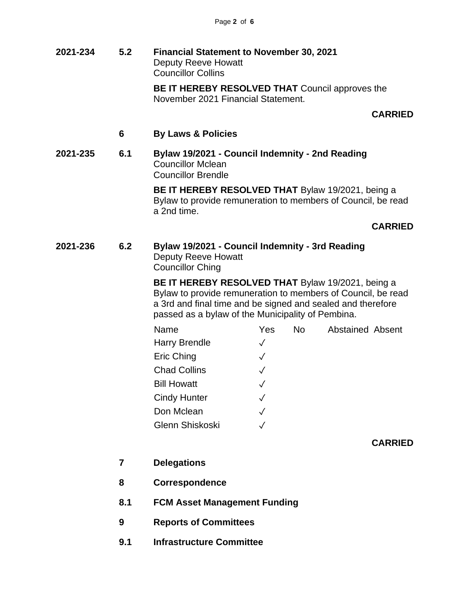**2021-234 5.2 Financial Statement to November 30, 2021** Deputy Reeve Howatt Councillor Collins

**BE IT HEREBY RESOLVED THAT** Council approves the November 2021 Financial Statement.

**CARRIED**

- **6 By Laws & Policies**
- **2021-235 6.1 Bylaw 19/2021 - Council Indemnity - 2nd Reading** Councillor Mclean Councillor Brendle

**BE IT HEREBY RESOLVED THAT** Bylaw 19/2021, being a Bylaw to provide remuneration to members of Council, be read a 2nd time.

**CARRIED**

**2021-236 6.2 Bylaw 19/2021 - Council Indemnity - 3rd Reading** Deputy Reeve Howatt Councillor Ching

> **BE IT HEREBY RESOLVED THAT** Bylaw 19/2021, being a Bylaw to provide remuneration to members of Council, be read a 3rd and final time and be signed and sealed and therefore passed as a bylaw of the Municipality of Pembina.

| Name                 | Yes          | <b>No</b> | <b>Abstained Absent</b> |  |
|----------------------|--------------|-----------|-------------------------|--|
| <b>Harry Brendle</b> | $\checkmark$ |           |                         |  |
| Eric Ching           | $\checkmark$ |           |                         |  |
| <b>Chad Collins</b>  | $\sqrt{ }$   |           |                         |  |
| <b>Bill Howatt</b>   | $\checkmark$ |           |                         |  |
| <b>Cindy Hunter</b>  | $\checkmark$ |           |                         |  |
| Don Mclean           | $\checkmark$ |           |                         |  |
| Glenn Shiskoski      |              |           |                         |  |

**CARRIED**

- **7 Delegations**
- **8 Correspondence**
- **8.1 FCM Asset Management Funding**
- **9 Reports of Committees**
- **9.1 Infrastructure Committee**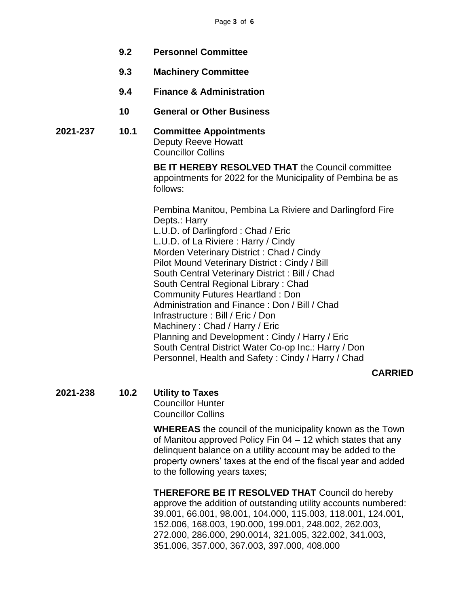- **9.2 Personnel Committee**
- **9.3 Machinery Committee**
- **9.4 Finance & Administration**
- **10 General or Other Business**

#### **2021-237 10.1 Committee Appointments** Deputy Reeve Howatt Councillor Collins

**BE IT HEREBY RESOLVED THAT** the Council committee appointments for 2022 for the Municipality of Pembina be as follows:

Pembina Manitou, Pembina La Riviere and Darlingford Fire Depts.: Harry L.U.D. of Darlingford : Chad / Eric L.U.D. of La Riviere : Harry / Cindy Morden Veterinary District : Chad / Cindy Pilot Mound Veterinary District : Cindy / Bill South Central Veterinary District : Bill / Chad South Central Regional Library : Chad Community Futures Heartland : Don Administration and Finance : Don / Bill / Chad Infrastructure : Bill / Eric / Don Machinery : Chad / Harry / Eric Planning and Development : Cindy / Harry / Eric South Central District Water Co-op Inc.: Harry / Don Personnel, Health and Safety : Cindy / Harry / Chad

#### **CARRIED**

# **2021-238 10.2 Utility to Taxes**

Councillor Hunter Councillor Collins

**WHEREAS** the council of the municipality known as the Town of Manitou approved Policy Fin 04 – 12 which states that any delinquent balance on a utility account may be added to the property owners' taxes at the end of the fiscal year and added to the following years taxes;

**THEREFORE BE IT RESOLVED THAT** Council do hereby approve the addition of outstanding utility accounts numbered: 39.001, 66.001, 98.001, 104.000, 115.003, 118.001, 124.001, 152.006, 168.003, 190.000, 199.001, 248.002, 262.003, 272.000, 286.000, 290.0014, 321.005, 322.002, 341.003, 351.006, 357.000, 367.003, 397.000, 408.000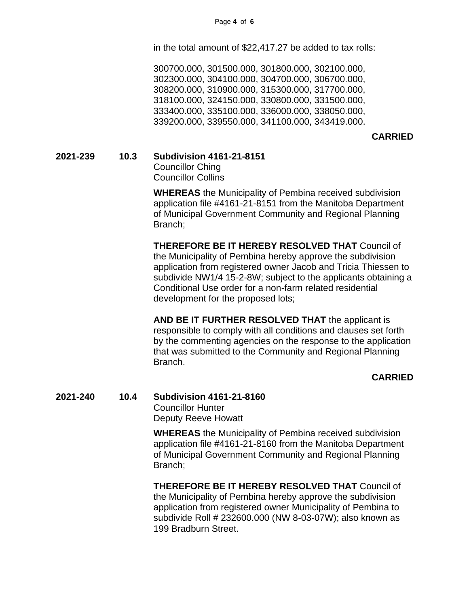in the total amount of \$22,417.27 be added to tax rolls:

300700.000, 301500.000, 301800.000, 302100.000, 302300.000, 304100.000, 304700.000, 306700.000, 308200.000, 310900.000, 315300.000, 317700.000, 318100.000, 324150.000, 330800.000, 331500.000, 333400.000, 335100.000, 336000.000, 338050.000, 339200.000, 339550.000, 341100.000, 343419.000.

#### **CARRIED**

**2021-239 10.3 Subdivision 4161-21-8151**

Councillor Ching Councillor Collins

**WHEREAS** the Municipality of Pembina received subdivision application file #4161-21-8151 from the Manitoba Department of Municipal Government Community and Regional Planning Branch;

**THEREFORE BE IT HEREBY RESOLVED THAT** Council of the Municipality of Pembina hereby approve the subdivision application from registered owner Jacob and Tricia Thiessen to subdivide NW1/4 15-2-8W; subject to the applicants obtaining a Conditional Use order for a non-farm related residential development for the proposed lots;

**AND BE IT FURTHER RESOLVED THAT** the applicant is responsible to comply with all conditions and clauses set forth by the commenting agencies on the response to the application that was submitted to the Community and Regional Planning Branch.

#### **CARRIED**

**2021-240 10.4 Subdivision 4161-21-8160** Councillor Hunter Deputy Reeve Howatt

> **WHEREAS** the Municipality of Pembina received subdivision application file #4161-21-8160 from the Manitoba Department of Municipal Government Community and Regional Planning Branch;

> **THEREFORE BE IT HEREBY RESOLVED THAT** Council of the Municipality of Pembina hereby approve the subdivision application from registered owner Municipality of Pembina to subdivide Roll # 232600.000 (NW 8-03-07W); also known as 199 Bradburn Street.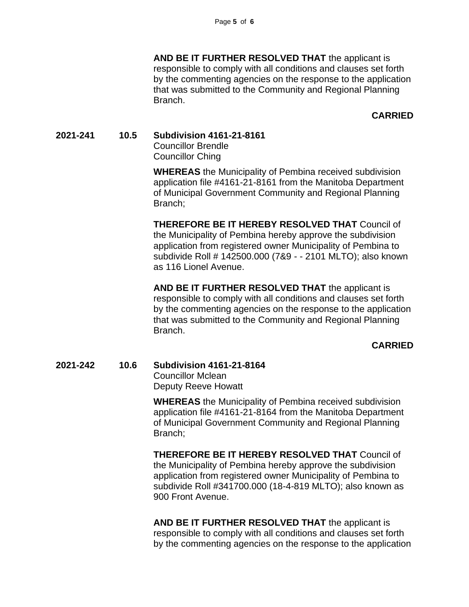**AND BE IT FURTHER RESOLVED THAT** the applicant is responsible to comply with all conditions and clauses set forth by the commenting agencies on the response to the application that was submitted to the Community and Regional Planning Branch.

#### **CARRIED**

#### **2021-241 10.5 Subdivision 4161-21-8161**

Councillor Brendle Councillor Ching

**WHEREAS** the Municipality of Pembina received subdivision application file #4161-21-8161 from the Manitoba Department of Municipal Government Community and Regional Planning Branch;

**THEREFORE BE IT HEREBY RESOLVED THAT** Council of the Municipality of Pembina hereby approve the subdivision application from registered owner Municipality of Pembina to subdivide Roll # 142500.000 (7&9 - - 2101 MLTO); also known as 116 Lionel Avenue.

**AND BE IT FURTHER RESOLVED THAT** the applicant is responsible to comply with all conditions and clauses set forth by the commenting agencies on the response to the application that was submitted to the Community and Regional Planning Branch.

#### **CARRIED**

### **2021-242 10.6 Subdivision 4161-21-8164**

Councillor Mclean Deputy Reeve Howatt

**WHEREAS** the Municipality of Pembina received subdivision application file #4161-21-8164 from the Manitoba Department of Municipal Government Community and Regional Planning Branch;

**THEREFORE BE IT HEREBY RESOLVED THAT** Council of the Municipality of Pembina hereby approve the subdivision application from registered owner Municipality of Pembina to subdivide Roll #341700.000 (18-4-819 MLTO); also known as 900 Front Avenue.

**AND BE IT FURTHER RESOLVED THAT** the applicant is responsible to comply with all conditions and clauses set forth by the commenting agencies on the response to the application